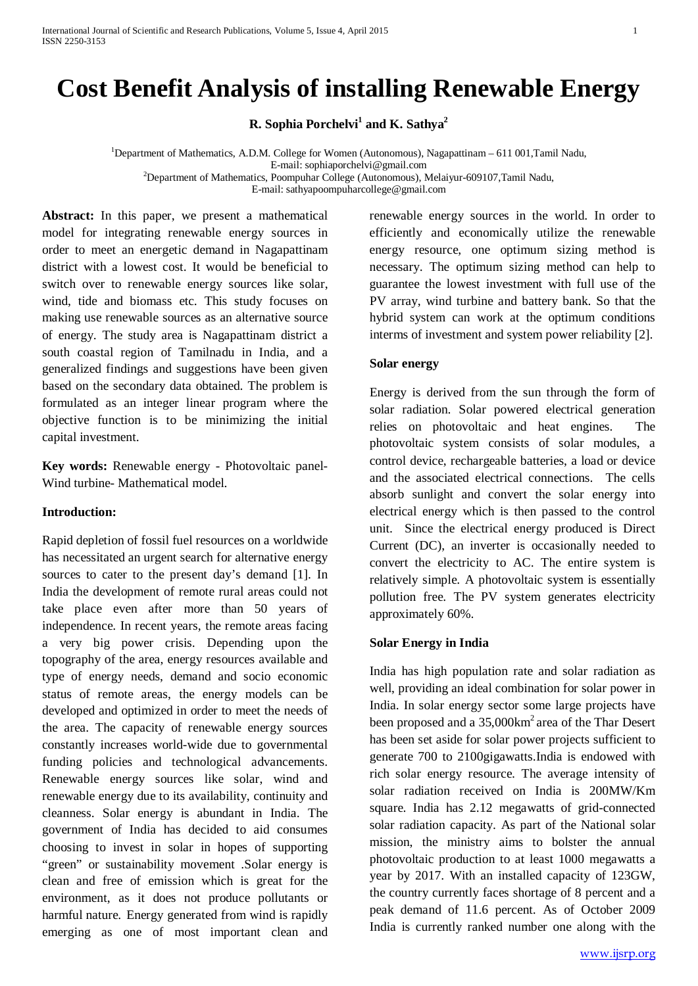# **Cost Benefit Analysis of installing Renewable Energy**

**R. Sophia Porchelvi<sup>1</sup> and K. Sathya<sup>2</sup>** 

<sup>1</sup>Department of Mathematics, A.D.M. College for Women (Autonomous), Nagapattinam - 611 001, Tamil Nadu, E-mail[: sophiaporchelvi@gmail.com](mailto:sophiaporchelvi@gmail.com)<br><sup>2</sup>Department of Mathematics, Poompuhar College (Autonomous), Melaiyur-609107,Tamil Nadu,

E-mail: sathyapoompuharcollege@gmail.com

**Abstract:** In this paper, we present a mathematical model for integrating renewable energy sources in order to meet an energetic demand in Nagapattinam district with a lowest cost. It would be beneficial to switch over to renewable energy sources like solar, wind, tide and biomass etc. This study focuses on making use renewable sources as an alternative source of energy. The study area is Nagapattinam district a south coastal region of Tamilnadu in India, and a generalized findings and suggestions have been given based on the secondary data obtained. The problem is formulated as an integer linear program where the objective function is to be minimizing the initial capital investment.

**Key words:** Renewable energy - Photovoltaic panel-Wind turbine- Mathematical model.

### **Introduction:**

Rapid depletion of fossil fuel resources on a worldwide has necessitated an urgent search for alternative energy sources to cater to the present day's demand [1]. In India the development of remote rural areas could not take place even after more than 50 years of independence. In recent years, the remote areas facing a very big power crisis. Depending upon the topography of the area, energy resources available and type of energy needs, demand and socio economic status of remote areas, the energy models can be developed and optimized in order to meet the needs of the area. The capacity of renewable energy sources constantly increases world-wide due to governmental funding policies and technological advancements. Renewable energy sources like solar, wind and renewable energy due to its availability, continuity and cleanness. Solar energy is abundant in India. The government of India has decided to aid consumes choosing to invest in solar in hopes of supporting "green" or sustainability movement .Solar energy is clean and free of emission which is great for the environment, as it does not produce pollutants or harmful nature. Energy generated from wind is rapidly emerging as one of most important clean and

renewable energy sources in the world. In order to efficiently and economically utilize the renewable energy resource, one optimum sizing method is necessary. The optimum sizing method can help to guarantee the lowest investment with full use of the PV array, wind turbine and battery bank. So that the hybrid system can work at the optimum conditions interms of investment and system power reliability [2].

### **Solar energy**

Energy is derived from the sun through the form of solar radiation. Solar powered electrical generation relies on photovoltaic and heat engines. The photovoltaic system consists of solar modules, a control device, rechargeable batteries, a load or device and the associated electrical connections. The cells absorb sunlight and convert the solar energy into electrical energy which is then passed to the control unit. Since the electrical energy produced is Direct Current (DC), an inverter is occasionally needed to convert the electricity to AC. The entire system is relatively simple. A photovoltaic system is essentially pollution free. The PV system generates electricity approximately 60%.

### **Solar Energy in India**

India has high population rate and solar radiation as well, providing an ideal combination for solar power in India. In solar energy sector some large projects have been proposed and a  $35,000 \text{km}^2$  area of the Thar Desert has been set aside for solar power projects sufficient to generate 700 to 2100gigawatts.India is endowed with rich solar energy resource. The average intensity of solar radiation received on India is 200MW/Km square. India has 2.12 megawatts of grid-connected solar radiation capacity. As part of the National solar mission, the ministry aims to bolster the annual photovoltaic production to at least 1000 megawatts a year by 2017. With an installed capacity of 123GW, the country currently faces shortage of 8 percent and a peak demand of 11.6 percent. As of October 2009 India is currently ranked number one along with the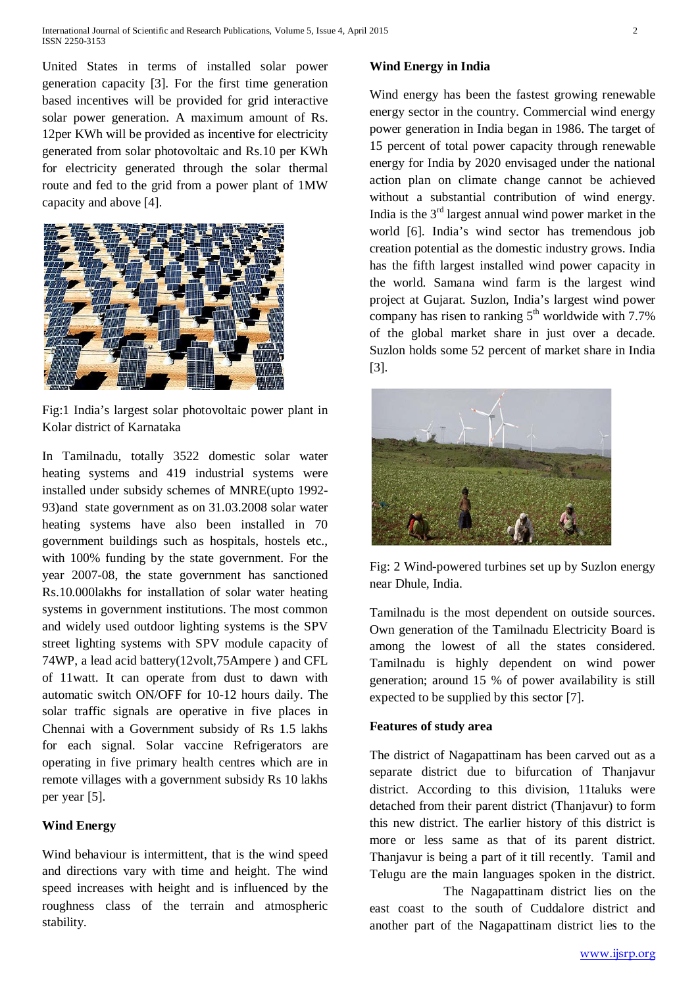United States in terms of installed solar power generation capacity [3]. For the first time generation based incentives will be provided for grid interactive solar power generation. A maximum amount of Rs. 12per KWh will be provided as incentive for electricity generated from solar photovoltaic and Rs.10 per KWh for electricity generated through the solar thermal route and fed to the grid from a power plant of 1MW capacity and above [4].



Fig:1 India's largest solar photovoltaic power plant in Kolar district of Karnataka

In Tamilnadu, totally 3522 domestic solar water heating systems and 419 industrial systems were installed under subsidy schemes of MNRE(upto 1992- 93)and state government as on 31.03.2008 solar water heating systems have also been installed in 70 government buildings such as hospitals, hostels etc., with 100% funding by the state government. For the year 2007-08, the state government has sanctioned Rs.10.000lakhs for installation of solar water heating systems in government institutions. The most common and widely used outdoor lighting systems is the SPV street lighting systems with SPV module capacity of 74WP, a lead acid battery(12volt,75Ampere ) and CFL of 11watt. It can operate from dust to dawn with automatic switch ON/OFF for 10-12 hours daily. The solar traffic signals are operative in five places in Chennai with a Government subsidy of Rs 1.5 lakhs for each signal. Solar vaccine Refrigerators are operating in five primary health centres which are in remote villages with a government subsidy Rs 10 lakhs per year [5].

# **Wind Energy**

Wind behaviour is intermittent, that is the wind speed and directions vary with time and height. The wind speed increases with height and is influenced by the roughness class of the terrain and atmospheric stability.

# **Wind Energy in India**

Wind energy has been the fastest growing renewable energy sector in the country. Commercial wind energy power generation in India began in 1986. The target of 15 percent of total power capacity through renewable energy for India by 2020 envisaged under the national action plan on climate change cannot be achieved without a substantial contribution of wind energy. India is the  $3<sup>rd</sup>$  largest annual wind power market in the world [6]. India's wind sector has tremendous job creation potential as the domestic industry grows. India has the fifth largest installed wind power capacity in the world. Samana wind farm is the largest wind project at Gujarat. Suzlon, India's largest wind power company has risen to ranking  $5<sup>th</sup>$  worldwide with 7.7% of the global market share in just over a decade. Suzlon holds some 52 percent of market share in India [3].



Fig: 2 Wind-powered turbines set up by Suzlon energy near Dhule, India.

Tamilnadu is the most dependent on outside sources. Own generation of the Tamilnadu Electricity Board is among the lowest of all the states considered. Tamilnadu is highly dependent on wind power generation; around 15 % of power availability is still expected to be supplied by this sector [7].

# **Features of study area**

The district of Nagapattinam has been carved out as a separate district due to bifurcation of Thanjavur district. According to this division, 11taluks were detached from their parent district (Thanjavur) to form this new district. The earlier history of this district is more or less same as that of its parent district. Thanjavur is being a part of it till recently. Tamil and Telugu are the main languages spoken in the district.

The Nagapattinam district lies on the east coast to the south of Cuddalore district and another part of the Nagapattinam district lies to the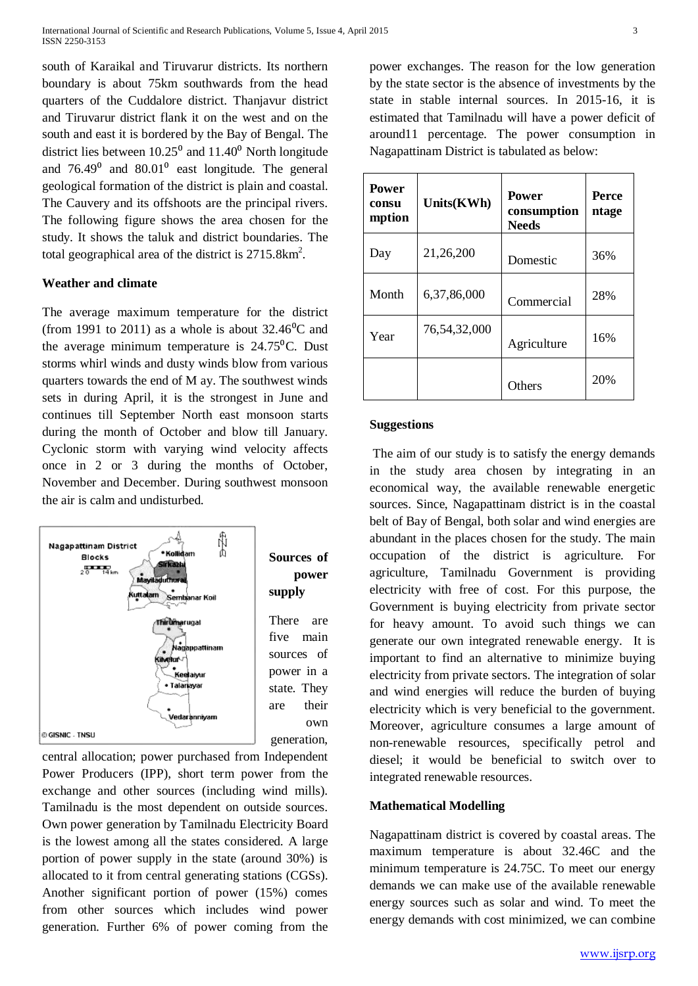south of Karaikal and Tiruvarur districts. Its northern boundary is about 75km southwards from the head quarters of the Cuddalore district. Thanjavur district and Tiruvarur district flank it on the west and on the south and east it is bordered by the Bay of Bengal. The district lies between  $10.25^{\circ}$  and  $11.40^{\circ}$  North longitude and  $76.49^{\circ}$  and  $80.01^{\circ}$  east longitude. The general geological formation of the district is plain and coastal. The Cauvery and its offshoots are the principal rivers. The following figure shows the area chosen for the study. It shows the taluk and district boundaries. The total geographical area of the district is  $2715.8 \text{km}^2$ .

#### **Weather and climate**

The average maximum temperature for the district (from 1991 to 2011) as a whole is about  $32.46^{\circ}$ C and the average minimum temperature is  $24.75^{\circ}$ C. Dust storms whirl winds and dusty winds blow from various quarters towards the end of M ay. The southwest winds sets in during April, it is the strongest in June and continues till September North east monsoon starts during the month of October and blow till January. Cyclonic storm with varying wind velocity affects once in 2 or 3 during the months of October, November and December. During southwest monsoon the air is calm and undisturbed.



central allocation; power purchased from Independent Power Producers (IPP), short term power from the exchange and other sources (including wind mills). Tamilnadu is the most dependent on outside sources. Own power generation by Tamilnadu Electricity Board is the lowest among all the states considered. A large portion of power supply in the state (around 30%) is allocated to it from central generating stations (CGSs). Another significant portion of power (15%) comes from other sources which includes wind power generation. Further 6% of power coming from the power exchanges. The reason for the low generation by the state sector is the absence of investments by the state in stable internal sources. In 2015-16, it is estimated that Tamilnadu will have a power deficit of around11 percentage. The power consumption in Nagapattinam District is tabulated as below:

| <b>Power</b><br>consu<br>mption | Units(KWh)   | <b>Power</b><br>consumption<br><b>Needs</b> | <b>Perce</b><br>ntage |
|---------------------------------|--------------|---------------------------------------------|-----------------------|
| Day                             | 21,26,200    | Domestic                                    | 36%                   |
| Month                           | 6,37,86,000  | Commercial                                  | 28%                   |
| Year                            | 76,54,32,000 | Agriculture                                 | 16%                   |
|                                 |              | Others                                      | 20%                   |

#### **Suggestions**

The aim of our study is to satisfy the energy demands in the study area chosen by integrating in an economical way, the available renewable energetic sources. Since, Nagapattinam district is in the coastal belt of Bay of Bengal, both solar and wind energies are abundant in the places chosen for the study. The main occupation of the district is agriculture. For agriculture, Tamilnadu Government is providing electricity with free of cost. For this purpose, the Government is buying electricity from private sector for heavy amount. To avoid such things we can generate our own integrated renewable energy. It is important to find an alternative to minimize buying electricity from private sectors. The integration of solar and wind energies will reduce the burden of buying electricity which is very beneficial to the government. Moreover, agriculture consumes a large amount of non-renewable resources, specifically petrol and diesel; it would be beneficial to switch over to integrated renewable resources.

#### **Mathematical Modelling**

Nagapattinam district is covered by coastal areas. The maximum temperature is about 32.46C and the minimum temperature is 24.75C. To meet our energy demands we can make use of the available renewable energy sources such as solar and wind. To meet the energy demands with cost minimized, we can combine